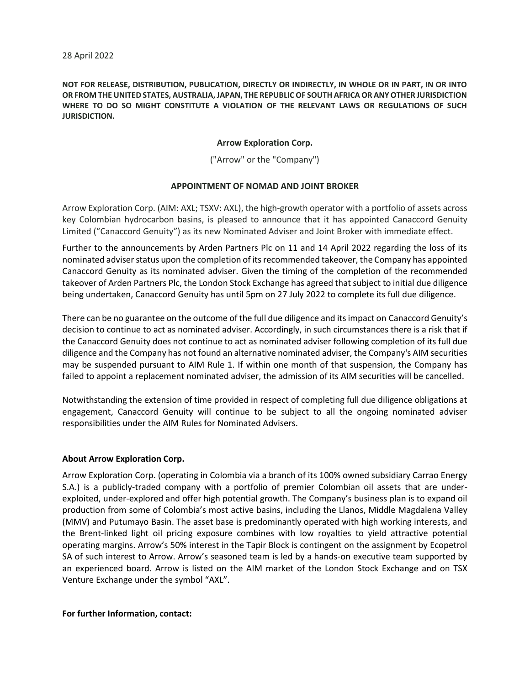**NOT FOR RELEASE, DISTRIBUTION, PUBLICATION, DIRECTLY OR INDIRECTLY, IN WHOLE OR IN PART, IN OR INTO OR FROM THE UNITED STATES, AUSTRALIA, JAPAN, THE REPUBLIC OF SOUTH AFRICA OR ANY OTHER JURISDICTION WHERE TO DO SO MIGHT CONSTITUTE A VIOLATION OF THE RELEVANT LAWS OR REGULATIONS OF SUCH JURISDICTION.**

## **Arrow Exploration Corp.**

("Arrow" or the "Company")

## **APPOINTMENT OF NOMAD AND JOINT BROKER**

Arrow Exploration Corp. (AIM: AXL; TSXV: AXL), the high-growth operator with a portfolio of assets across key Colombian hydrocarbon basins, is pleased to announce that it has appointed Canaccord Genuity Limited ("Canaccord Genuity") as its new Nominated Adviser and Joint Broker with immediate effect.

Further to the announcements by Arden Partners Plc on 11 and 14 April 2022 regarding the loss of its nominated adviser status upon the completion of its recommended takeover, the Company has appointed Canaccord Genuity as its nominated adviser. Given the timing of the completion of the recommended takeover of Arden Partners Plc, the London Stock Exchange has agreed that subject to initial due diligence being undertaken, Canaccord Genuity has until 5pm on 27 July 2022 to complete its full due diligence.

There can be no guarantee on the outcome of the full due diligence and its impact on Canaccord Genuity's decision to continue to act as nominated adviser. Accordingly, in such circumstances there is a risk that if the Canaccord Genuity does not continue to act as nominated adviser following completion of its full due diligence and the Company has not found an alternative nominated adviser, the Company's AIM securities may be suspended pursuant to AIM Rule 1. If within one month of that suspension, the Company has failed to appoint a replacement nominated adviser, the admission of its AIM securities will be cancelled.

Notwithstanding the extension of time provided in respect of completing full due diligence obligations at engagement, Canaccord Genuity will continue to be subject to all the ongoing nominated adviser responsibilities under the AIM Rules for Nominated Advisers.

## **About Arrow Exploration Corp.**

Arrow Exploration Corp. (operating in Colombia via a branch of its 100% owned subsidiary Carrao Energy S.A.) is a publicly-traded company with a portfolio of premier Colombian oil assets that are underexploited, under-explored and offer high potential growth. The Company's business plan is to expand oil production from some of Colombia's most active basins, including the Llanos, Middle Magdalena Valley (MMV) and Putumayo Basin. The asset base is predominantly operated with high working interests, and the Brent-linked light oil pricing exposure combines with low royalties to yield attractive potential operating margins. Arrow's 50% interest in the Tapir Block is contingent on the assignment by Ecopetrol SA of such interest to Arrow. Arrow's seasoned team is led by a hands-on executive team supported by an experienced board. Arrow is listed on the AIM market of the London Stock Exchange and on TSX Venture Exchange under the symbol "AXL".

## **For further Information, contact:**